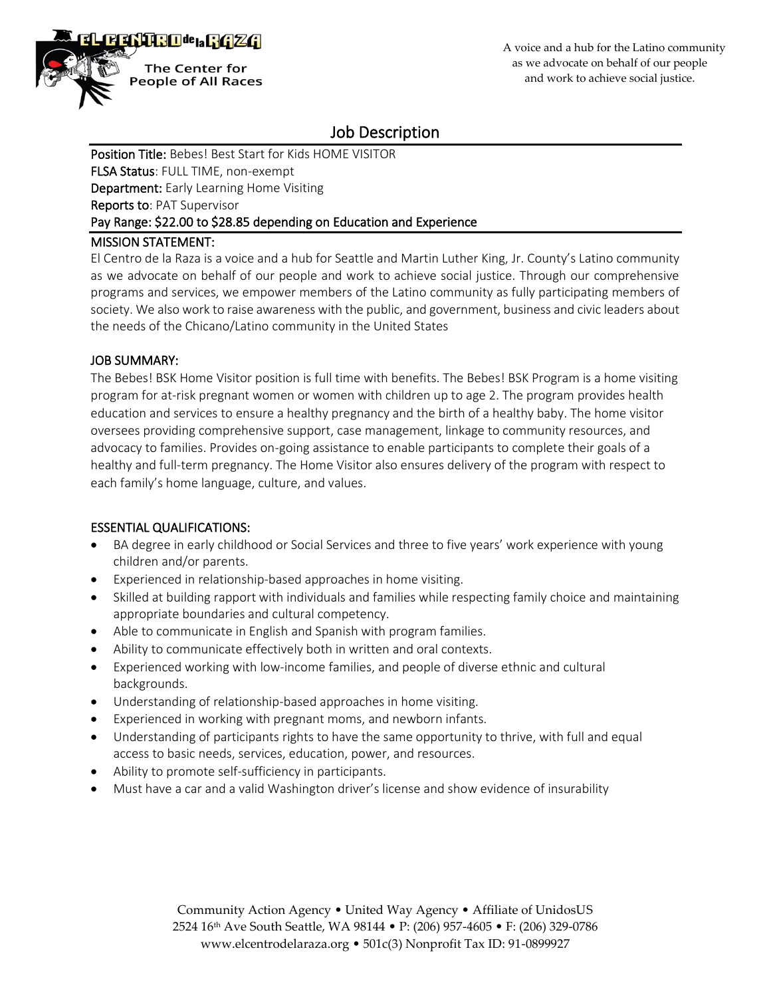

# Job Description

Position Title: Bebes! Best Start for Kids HOME VISITOR FLSA Status: FULL TIME, non-exempt Department: Early Learning Home Visiting Reports to: PAT Supervisor Pay Range: \$22.00 to \$28.85 depending on Education and Experience

# MISSION STATEMENT:

El Centro de la Raza is a voice and a hub for Seattle and Martin Luther King, Jr. County's Latino community as we advocate on behalf of our people and work to achieve social justice. Through our comprehensive programs and services, we empower members of the Latino community as fully participating members of society. We also work to raise awareness with the public, and government, business and civic leaders about the needs of the Chicano/Latino community in the United States

## JOB SUMMARY:

The Bebes! BSK Home Visitor position is full time with benefits. The Bebes! BSK Program is a home visiting program for at-risk pregnant women or women with children up to age 2. The program provides health education and services to ensure a healthy pregnancy and the birth of a healthy baby. The home visitor oversees providing comprehensive support, case management, linkage to community resources, and advocacy to families. Provides on-going assistance to enable participants to complete their goals of a healthy and full-term pregnancy. The Home Visitor also ensures delivery of the program with respect to each family's home language, culture, and values.

# ESSENTIAL QUALIFICATIONS:

- BA degree in early childhood or Social Services and three to five years' work experience with young children and/or parents.
- Experienced in relationship-based approaches in home visiting.
- Skilled at building rapport with individuals and families while respecting family choice and maintaining appropriate boundaries and cultural competency.
- Able to communicate in English and Spanish with program families.
- Ability to communicate effectively both in written and oral contexts.
- Experienced working with low-income families, and people of diverse ethnic and cultural backgrounds.
- Understanding of relationship-based approaches in home visiting.
- Experienced in working with pregnant moms, and newborn infants.
- Understanding of participants rights to have the same opportunity to thrive, with full and equal access to basic needs, services, education, power, and resources.
- Ability to promote self-sufficiency in participants.
- Must have a car and a valid Washington driver's license and show evidence of insurability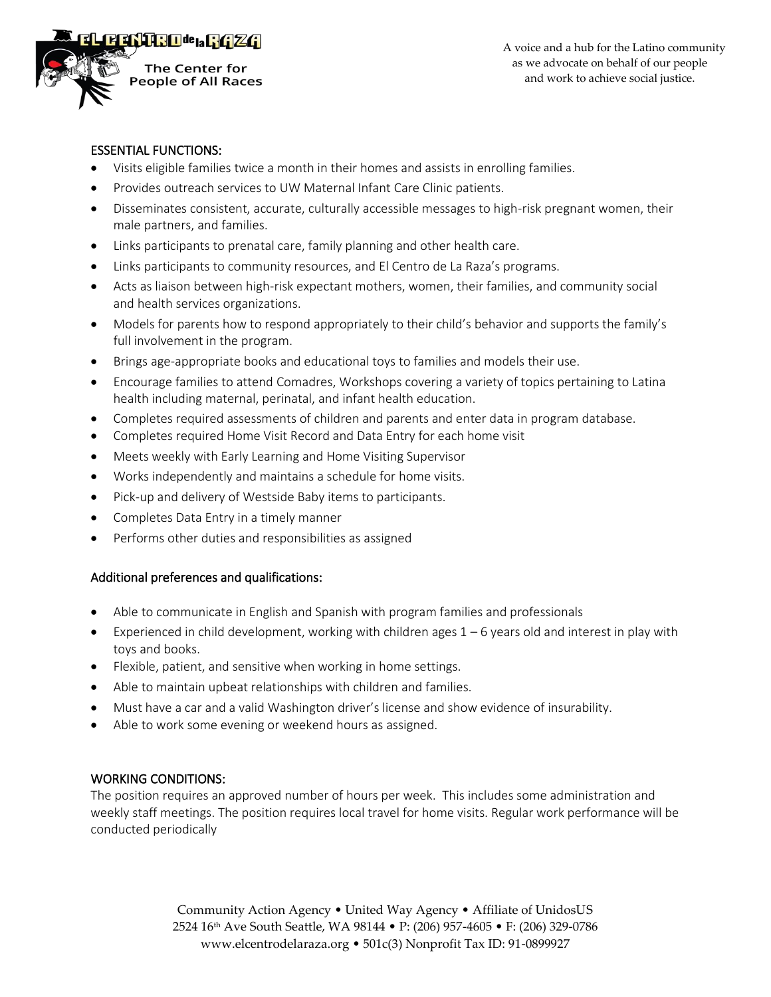

#### ESSENTIAL FUNCTIONS:

- Visits eligible families twice a month in their homes and assists in enrolling families.
- Provides outreach services to UW Maternal Infant Care Clinic patients.
- Disseminates consistent, accurate, culturally accessible messages to high-risk pregnant women, their male partners, and families.
- Links participants to prenatal care, family planning and other health care.
- Links participants to community resources, and El Centro de La Raza's programs.
- Acts as liaison between high-risk expectant mothers, women, their families, and community social and health services organizations.
- Models for parents how to respond appropriately to their child's behavior and supports the family's full involvement in the program.
- Brings age-appropriate books and educational toys to families and models their use.
- Encourage families to attend Comadres, Workshops covering a variety of topics pertaining to Latina health including maternal, perinatal, and infant health education.
- Completes required assessments of children and parents and enter data in program database.
- Completes required Home Visit Record and Data Entry for each home visit
- Meets weekly with Early Learning and Home Visiting Supervisor
- Works independently and maintains a schedule for home visits.
- Pick-up and delivery of Westside Baby items to participants.
- Completes Data Entry in a timely manner
- Performs other duties and responsibilities as assigned

# Additional preferences and qualifications:

- Able to communicate in English and Spanish with program families and professionals
- Experienced in child development, working with children ages  $1-6$  years old and interest in play with toys and books.
- Flexible, patient, and sensitive when working in home settings.
- Able to maintain upbeat relationships with children and families.
- Must have a car and a valid Washington driver's license and show evidence of insurability.
- Able to work some evening or weekend hours as assigned.

# WORKING CONDITIONS:

The position requires an approved number of hours per week. This includes some administration and weekly staff meetings. The position requires local travel for home visits. Regular work performance will be conducted periodically

> Community Action Agency • United Way Agency • Affiliate of UnidosUS 2524 16th Ave South Seattle, WA 98144 • P: (206) 957-4605 • F: (206) 329-0786 www.elcentrodelaraza.org • 501c(3) Nonprofit Tax ID: 91-0899927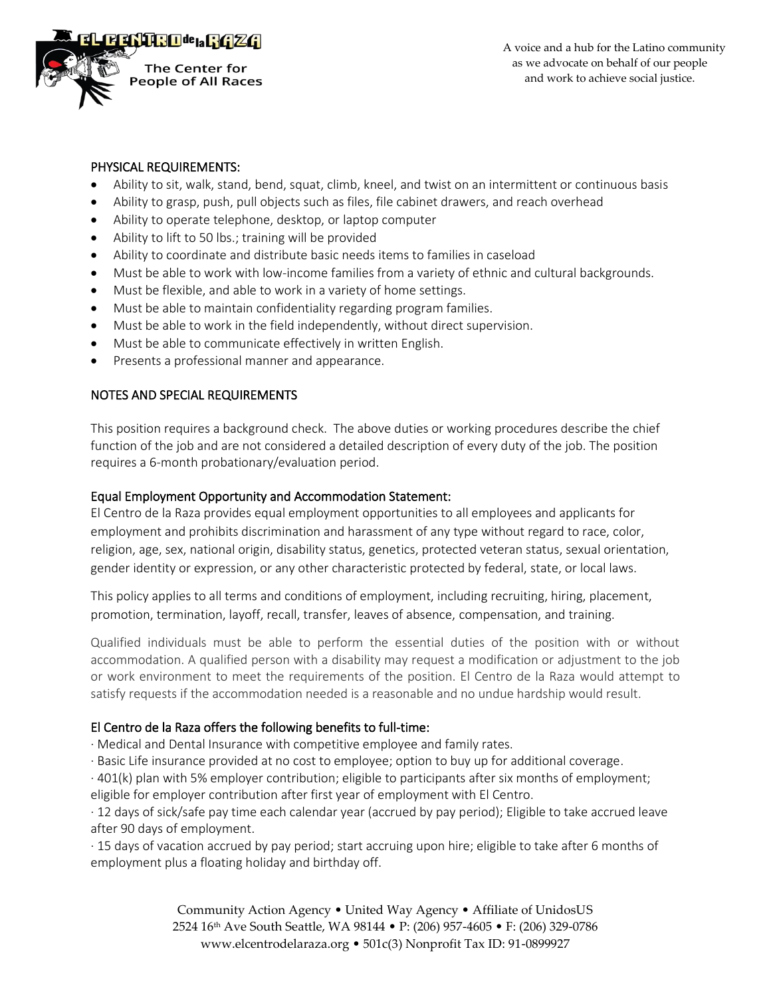

## PHYSICAL REQUIREMENTS:

- Ability to sit, walk, stand, bend, squat, climb, kneel, and twist on an intermittent or continuous basis
- Ability to grasp, push, pull objects such as files, file cabinet drawers, and reach overhead
- Ability to operate telephone, desktop, or laptop computer
- Ability to lift to 50 lbs.; training will be provided
- Ability to coordinate and distribute basic needs items to families in caseload
- Must be able to work with low-income families from a variety of ethnic and cultural backgrounds.
- Must be flexible, and able to work in a variety of home settings.
- Must be able to maintain confidentiality regarding program families.
- Must be able to work in the field independently, without direct supervision.
- Must be able to communicate effectively in written English.
- Presents a professional manner and appearance.

# NOTES AND SPECIAL REQUIREMENTS

This position requires a background check. The above duties or working procedures describe the chief function of the job and are not considered a detailed description of every duty of the job. The position requires a 6-month probationary/evaluation period.

#### Equal Employment Opportunity and Accommodation Statement:

El Centro de la Raza provides equal employment opportunities to all employees and applicants for employment and prohibits discrimination and harassment of any type without regard to race, color, religion, age, sex, national origin, disability status, genetics, protected veteran status, sexual orientation, gender identity or expression, or any other characteristic protected by federal, state, or local laws.

This policy applies to all terms and conditions of employment, including recruiting, hiring, placement, promotion, termination, layoff, recall, transfer, leaves of absence, compensation, and training.

Qualified individuals must be able to perform the essential duties of the position with or without accommodation. A qualified person with a disability may request a modification or adjustment to the job or work environment to meet the requirements of the position. El Centro de la Raza would attempt to satisfy requests if the accommodation needed is a reasonable and no undue hardship would result.

# El Centro de la Raza offers the following benefits to full-time:

· Medical and Dental Insurance with competitive employee and family rates.

· Basic Life insurance provided at no cost to employee; option to buy up for additional coverage.

· 401(k) plan with 5% employer contribution; eligible to participants after six months of employment;

eligible for employer contribution after first year of employment with El Centro.

· 12 days of sick/safe pay time each calendar year (accrued by pay period); Eligible to take accrued leave after 90 days of employment.

· 15 days of vacation accrued by pay period; start accruing upon hire; eligible to take after 6 months of employment plus a floating holiday and birthday off.

> Community Action Agency • United Way Agency • Affiliate of UnidosUS 2524 16th Ave South Seattle, WA 98144 • P: (206) 957-4605 • F: (206) 329-0786 www.elcentrodelaraza.org • 501c(3) Nonprofit Tax ID: 91-0899927